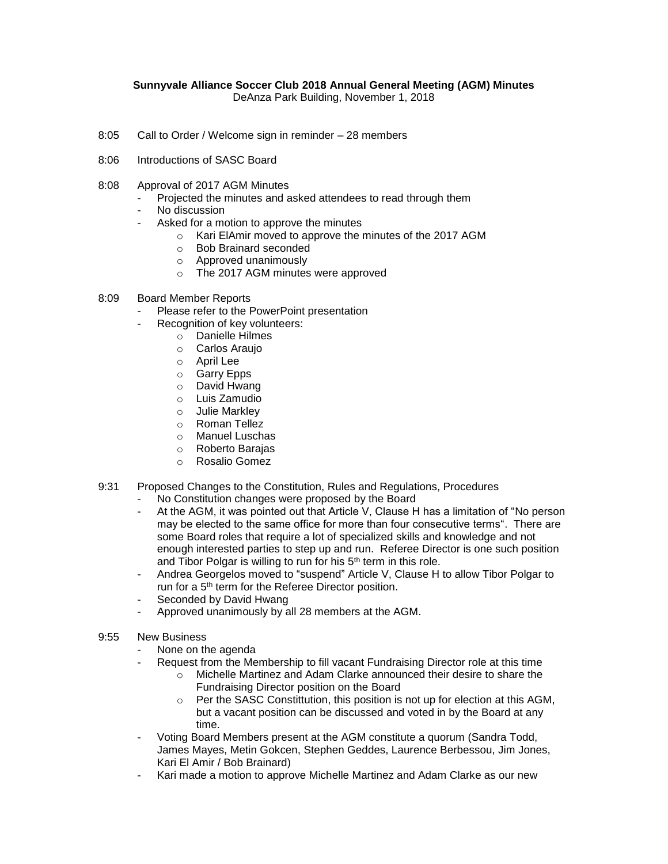## **Sunnyvale Alliance Soccer Club 2018 Annual General Meeting (AGM) Minutes**

DeAnza Park Building, November 1, 2018

- 8:05 Call to Order / Welcome sign in reminder 28 members
- 8:06 Introductions of SASC Board
- 8:08 Approval of 2017 AGM Minutes
	- Projected the minutes and asked attendees to read through them
	- No discussion
	- Asked for a motion to approve the minutes
		- o Kari ElAmir moved to approve the minutes of the 2017 AGM
		- o Bob Brainard seconded
		- o Approved unanimously
		- o The 2017 AGM minutes were approved
- 8:09 Board Member Reports
	- Please refer to the PowerPoint presentation
		- Recognition of key volunteers:
			- o Danielle Hilmes
			- o Carlos Araujo
			- o April Lee
			- o Garry Epps
			- o David Hwang
			- o Luis Zamudio
			- o Julie Markley
			- o Roman Tellez
			- o Manuel Luschas
			- o Roberto Barajas
			- o Rosalio Gomez
- 9:31 Proposed Changes to the Constitution, Rules and Regulations, Procedures
	- No Constitution changes were proposed by the Board
	- At the AGM, it was pointed out that Article V, Clause H has a limitation of "No person may be elected to the same office for more than four consecutive terms". There are some Board roles that require a lot of specialized skills and knowledge and not enough interested parties to step up and run. Referee Director is one such position and Tibor Polgar is willing to run for his 5<sup>th</sup> term in this role.
	- Andrea Georgelos moved to "suspend" Article V, Clause H to allow Tibor Polgar to run for a 5<sup>th</sup> term for the Referee Director position.
	- Seconded by David Hwang
	- Approved unanimously by all 28 members at the AGM.
- 9:55 New Business
	- None on the agenda
		- Request from the Membership to fill vacant Fundraising Director role at this time
			- $\circ$  Michelle Martinez and Adam Clarke announced their desire to share the Fundraising Director position on the Board
			- $\circ$  Per the SASC Constittution, this position is not up for election at this AGM, but a vacant position can be discussed and voted in by the Board at any time.
	- Voting Board Members present at the AGM constitute a quorum (Sandra Todd, James Mayes, Metin Gokcen, Stephen Geddes, Laurence Berbessou, Jim Jones, Kari El Amir / Bob Brainard)
	- Kari made a motion to approve Michelle Martinez and Adam Clarke as our new